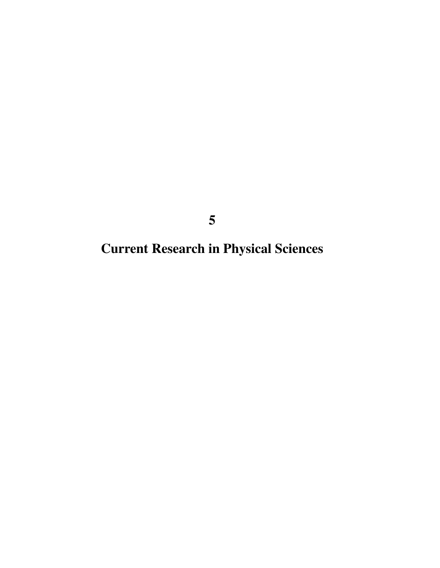**Current Research in Physical Sciences**

**5**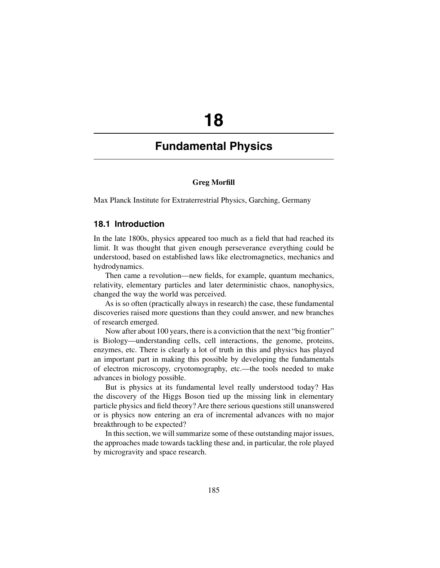# **18**

# **Fundamental Physics**

### **Greg Morfill**

Max Planck Institute for Extraterrestrial Physics, Garching, Germany

### **18.1 Introduction**

In the late 1800s, physics appeared too much as a field that had reached its limit. It was thought that given enough perseverance everything could be understood, based on established laws like electromagnetics, mechanics and hydrodynamics.

Then came a revolution—new fields, for example, quantum mechanics, relativity, elementary particles and later deterministic chaos, nanophysics, changed the way the world was perceived.

As is so often (practically always in research) the case, these fundamental discoveries raised more questions than they could answer, and new branches of research emerged.

Now after about 100 years, there is a conviction that the next "big frontier" is Biology—understanding cells, cell interactions, the genome, proteins, enzymes, etc. There is clearly a lot of truth in this and physics has played an important part in making this possible by developing the fundamentals of electron microscopy, cryotomography, etc.—the tools needed to make advances in biology possible.

But is physics at its fundamental level really understood today? Has the discovery of the Higgs Boson tied up the missing link in elementary particle physics and field theory? Are there serious questions still unanswered or is physics now entering an era of incremental advances with no major breakthrough to be expected?

In this section, we will summarize some of these outstanding major issues, the approaches made towards tackling these and, in particular, the role played by microgravity and space research.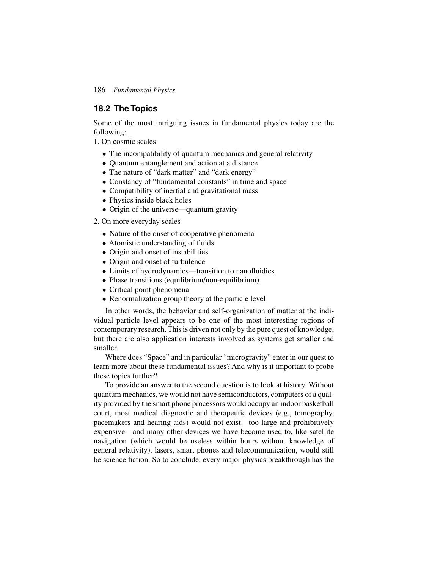# **18.2 The Topics**

Some of the most intriguing issues in fundamental physics today are the following:

1. On cosmic scales

- The incompatibility of quantum mechanics and general relativity
- Quantum entanglement and action at a distance
- The nature of "dark matter" and "dark energy"
- Constancy of "fundamental constants" in time and space
- Compatibility of inertial and gravitational mass
- Physics inside black holes
- Origin of the universe—quantum gravity
- 2. On more everyday scales
	- Nature of the onset of cooperative phenomena
	- Atomistic understanding of fluids
	- Origin and onset of instabilities
	- Origin and onset of turbulence
	- Limits of hydrodynamics—transition to nanofluidics
	- Phase transitions (equilibrium/non-equilibrium)
	- Critical point phenomena
	- Renormalization group theory at the particle level

In other words, the behavior and self-organization of matter at the individual particle level appears to be one of the most interesting regions of contemporary research. This is driven not only by the pure quest of knowledge, but there are also application interests involved as systems get smaller and smaller.

Where does "Space" and in particular "microgravity" enter in our quest to learn more about these fundamental issues? And why is it important to probe these topics further?

To provide an answer to the second question is to look at history. Without quantum mechanics, we would not have semiconductors, computers of a quality provided by the smart phone processors would occupy an indoor basketball court, most medical diagnostic and therapeutic devices (e.g., tomography, pacemakers and hearing aids) would not exist—too large and prohibitively expensive—and many other devices we have become used to, like satellite navigation (which would be useless within hours without knowledge of general relativity), lasers, smart phones and telecommunication, would still be science fiction. So to conclude, every major physics breakthrough has the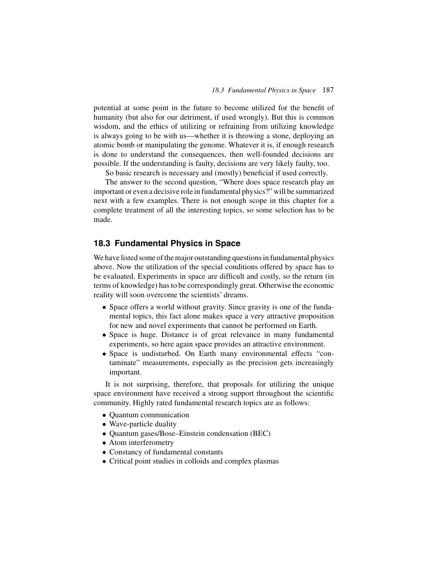potential at some point in the future to become utilized for the benefit of humanity (but also for our detriment, if used wrongly). But this is common wisdom, and the ethics of utilizing or refraining from utilizing knowledge is always going to be with us—whether it is throwing a stone, deploying an atomic bomb or manipulating the genome. Whatever it is, if enough research is done to understand the consequences, then well-founded decisions are possible. If the understanding is faulty, decisions are very likely faulty, too.

So basic research is necessary and (mostly) beneficial if used correctly.

The answer to the second question, "Where does space research play an important or even a decisive role in fundamental physics?" will be summarized next with a few examples. There is not enough scope in this chapter for a complete treatment of all the interesting topics, so some selection has to be made.

# **18.3 Fundamental Physics in Space**

We have listed some of the major outstanding questions in fundamental physics above. Now the utilization of the special conditions offered by space has to be evaluated. Experiments in space are difficult and costly, so the return (in terms of knowledge) has to be correspondingly great. Otherwise the economic reality will soon overcome the scientists' dreams.

- Space offers a world without gravity. Since gravity is one of the fundamental topics, this fact alone makes space a very attractive proposition for new and novel experiments that cannot be performed on Earth.
- Space is huge. Distance is of great relevance in many fundamental experiments, so here again space provides an attractive environment.
- Space is undisturbed. On Earth many environmental effects "contaminate" measurements, especially as the precision gets increasingly important.

It is not surprising, therefore, that proposals for utilizing the unique space environment have received a strong support throughout the scientific community. Highly rated fundamental research topics are as follows:

- Quantum communication
- Wave-particle duality
- Quantum gases/Bose–Einstein condensation (BEC)
- Atom interferometry
- Constancy of fundamental constants
- Critical point studies in colloids and complex plasmas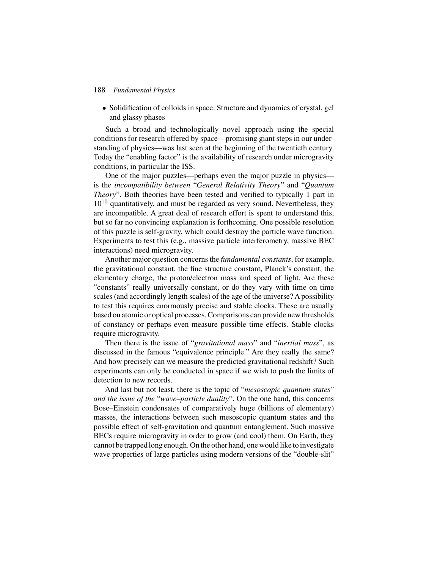• Solidification of colloids in space: Structure and dynamics of crystal, gel and glassy phases

Such a broad and technologically novel approach using the special conditions for research offered by space—promising giant steps in our understanding of physics—was last seen at the beginning of the twentieth century. Today the "enabling factor" is the availability of research under microgravity conditions, in particular the ISS.

One of the major puzzles—perhaps even the major puzzle in physics is the *incompatibility between* "*General Relativity Theory*" and "*Quantum Theory*". Both theories have been tested and verified to typically 1 part in  $10^{10}$  quantitatively, and must be regarded as very sound. Nevertheless, they are incompatible. A great deal of research effort is spent to understand this, but so far no convincing explanation is forthcoming. One possible resolution of this puzzle is self-gravity, which could destroy the particle wave function. Experiments to test this (e.g., massive particle interferometry, massive BEC interactions) need microgravity.

Another major question concerns the *fundamental constants*, for example, the gravitational constant, the fine structure constant, Planck's constant, the elementary charge, the proton/electron mass and speed of light. Are these "constants" really universally constant, or do they vary with time on time scales (and accordingly length scales) of the age of the universe? A possibility to test this requires enormously precise and stable clocks. These are usually based on atomic or optical processes. Comparisons can provide new thresholds of constancy or perhaps even measure possible time effects. Stable clocks require microgravity.

Then there is the issue of "*gravitational mass*" and "*inertial mass*", as discussed in the famous "equivalence principle." Are they really the same? And how precisely can we measure the predicted gravitational redshift? Such experiments can only be conducted in space if we wish to push the limits of detection to new records.

And last but not least, there is the topic of "*mesoscopic quantum states*" *and the issue of the* "*wave–particle duality*". On the one hand, this concerns Bose–Einstein condensates of comparatively huge (billions of elementary) masses, the interactions between such mesoscopic quantum states and the possible effect of self-gravitation and quantum entanglement. Such massive BECs require microgravity in order to grow (and cool) them. On Earth, they cannot be trapped long enough. On the other hand, one would like to investigate wave properties of large particles using modern versions of the "double-slit"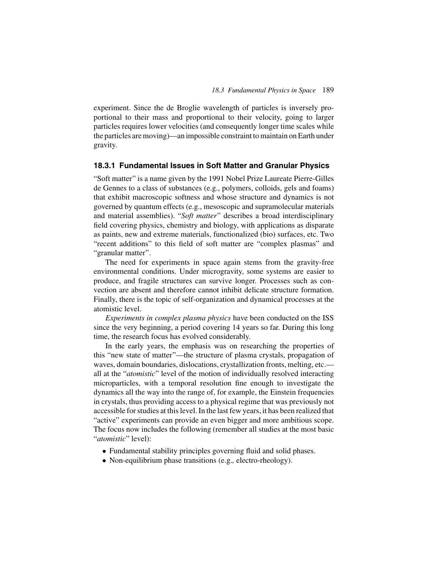experiment. Since the de Broglie wavelength of particles is inversely proportional to their mass and proportional to their velocity, going to larger particles requires lower velocities (and consequently longer time scales while the particles are moving)—an impossible constraint to maintain on Earth under gravity.

### **18.3.1 Fundamental Issues in Soft Matter and Granular Physics**

"Soft matter" is a name given by the 1991 Nobel Prize Laureate Pierre-Gilles de Gennes to a class of substances (e.g., polymers, colloids, gels and foams) that exhibit macroscopic softness and whose structure and dynamics is not governed by quantum effects (e.g., mesoscopic and supramolecular materials and material assemblies). "*Soft matter*" describes a broad interdisciplinary field covering physics, chemistry and biology, with applications as disparate as paints, new and extreme materials, functionalized (bio) surfaces, etc. Two "recent additions" to this field of soft matter are "complex plasmas" and "granular matter".

The need for experiments in space again stems from the gravity-free environmental conditions. Under microgravity, some systems are easier to produce, and fragile structures can survive longer. Processes such as convection are absent and therefore cannot inhibit delicate structure formation. Finally, there is the topic of self-organization and dynamical processes at the atomistic level.

*Experiments in complex plasma physics* have been conducted on the ISS since the very beginning, a period covering 14 years so far. During this long time, the research focus has evolved considerably.

In the early years, the emphasis was on researching the properties of this "new state of matter"—the structure of plasma crystals, propagation of waves, domain boundaries, dislocations, crystallization fronts, melting, etc. all at the "*atomistic*" level of the motion of individually resolved interacting microparticles, with a temporal resolution fine enough to investigate the dynamics all the way into the range of, for example, the Einstein frequencies in crystals, thus providing access to a physical regime that was previously not accessible for studies at this level. In the last few years, it has been realized that "active" experiments can provide an even bigger and more ambitious scope. The focus now includes the following (remember all studies at the most basic "*atomistic*" level):

- Fundamental stability principles governing fluid and solid phases.
- Non-equilibrium phase transitions (e.g.*,* electro-rheology).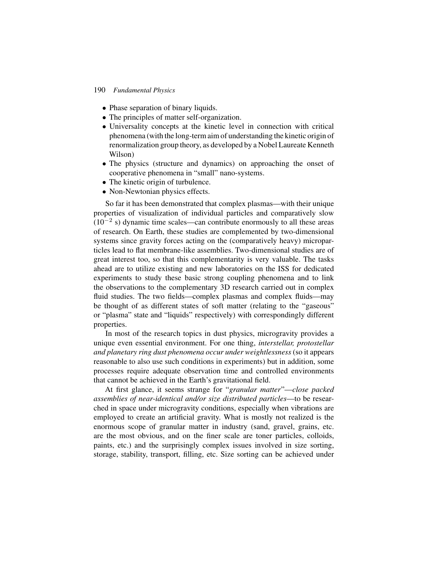- Phase separation of binary liquids.
- The principles of matter self-organization.
- Universality concepts at the kinetic level in connection with critical phenomena (with the long-term aim of understanding the kinetic origin of renormalization group theory, as developed by a Nobel Laureate Kenneth Wilson)
- The physics (structure and dynamics) on approaching the onset of cooperative phenomena in "small" nano-systems.
- The kinetic origin of turbulence.
- Non-Newtonian physics effects.

So far it has been demonstrated that complex plasmas—with their unique properties of visualization of individual particles and comparatively slow  $(10^{-2}$  s) dynamic time scales—can contribute enormously to all these areas of research. On Earth, these studies are complemented by two-dimensional systems since gravity forces acting on the (comparatively heavy) microparticles lead to flat membrane-like assemblies. Two-dimensional studies are of great interest too, so that this complementarity is very valuable. The tasks ahead are to utilize existing and new laboratories on the ISS for dedicated experiments to study these basic strong coupling phenomena and to link the observations to the complementary 3D research carried out in complex fluid studies. The two fields—complex plasmas and complex fluids—may be thought of as different states of soft matter (relating to the "gaseous" or "plasma" state and "liquids" respectively) with correspondingly different properties.

In most of the research topics in dust physics, microgravity provides a unique even essential environment. For one thing, *interstellar, protostellar and planetary ring dust phenomena occur under weightlessness* (so it appears reasonable to also use such conditions in experiments) but in addition, some processes require adequate observation time and controlled environments that cannot be achieved in the Earth's gravitational field.

At first glance, it seems strange for "*granular matter*"—*close packed assemblies of near-identical and/or size distributed particles*—to be researched in space under microgravity conditions, especially when vibrations are employed to create an artificial gravity. What is mostly not realized is the enormous scope of granular matter in industry (sand, gravel, grains, etc. are the most obvious, and on the finer scale are toner particles, colloids, paints, etc.) and the surprisingly complex issues involved in size sorting, storage, stability, transport, filling, etc. Size sorting can be achieved under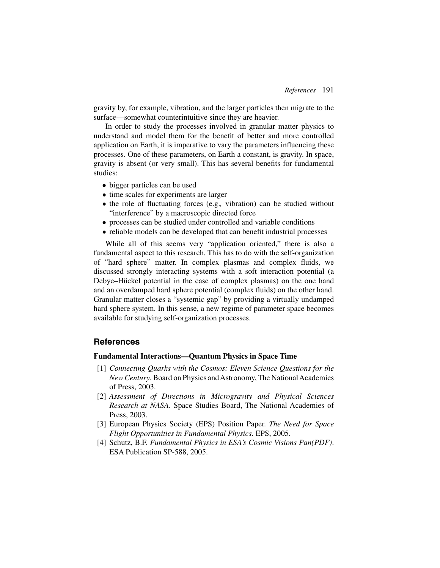gravity by, for example, vibration, and the larger particles then migrate to the surface—somewhat counterintuitive since they are heavier.

In order to study the processes involved in granular matter physics to understand and model them for the benefit of better and more controlled application on Earth, it is imperative to vary the parameters influencing these processes. One of these parameters, on Earth a constant, is gravity. In space, gravity is absent (or very small). This has several benefits for fundamental studies:

- bigger particles can be used
- time scales for experiments are larger
- the role of fluctuating forces (e.g.*,* vibration) can be studied without "interference" by a macroscopic directed force
- processes can be studied under controlled and variable conditions
- reliable models can be developed that can benefit industrial processes

While all of this seems very "application oriented," there is also a fundamental aspect to this research. This has to do with the self-organization of "hard sphere" matter. In complex plasmas and complex fluids, we discussed strongly interacting systems with a soft interaction potential (a Debye–Hückel potential in the case of complex plasmas) on the one hand and an overdamped hard sphere potential (complex fluids) on the other hand. Granular matter closes a "systemic gap" by providing a virtually undamped hard sphere system. In this sense, a new regime of parameter space becomes available for studying self-organization processes.

#### **References**

#### **Fundamental Interactions—Quantum Physics in Space Time**

- [1] *Connecting Quarks with the Cosmos: Eleven Science Questions for the New Century*. Board on Physics and Astronomy, The National Academies of Press, 2003.
- [2] *Assessment of Directions in Microgravity and Physical Sciences Research at NASA*. Space Studies Board, The National Academies of Press, 2003.
- [3] European Physics Society (EPS) Position Paper. *The Need for Space Flight Opportunities in Fundamental Physics*. EPS, 2005.
- [4] Schutz, B.F. *Fundamental Physics in ESA's Cosmic Visions Pan(PDF)*. ESA Publication SP-588, 2005.